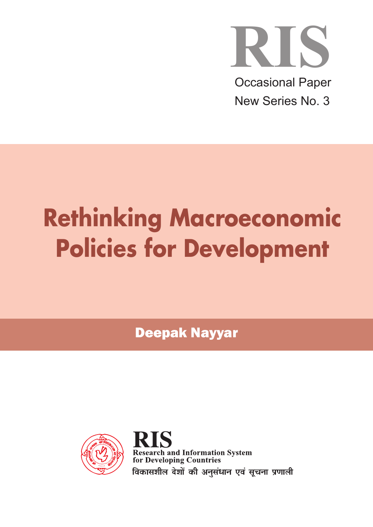

# **Rethinking Macroeconomic Policies for Development**

Deepak Nayyar



**Research and Information System<br>for Developing Countries** विकासशील देशों की अनुसंधान एवं सूचना प्रणाली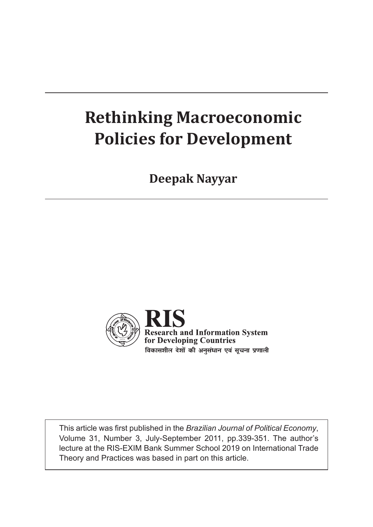## **Rethinking Macroeconomic Policies for Development**

**Deepak Nayyar**



This article was first published in the *Brazilian Journal of Political Economy*, Volume 31, Number 3, July-September 2011, pp.339-351. The author's lecture at the RIS-EXIM Bank Summer School 2019 on International Trade Theory and Practices was based in part on this article.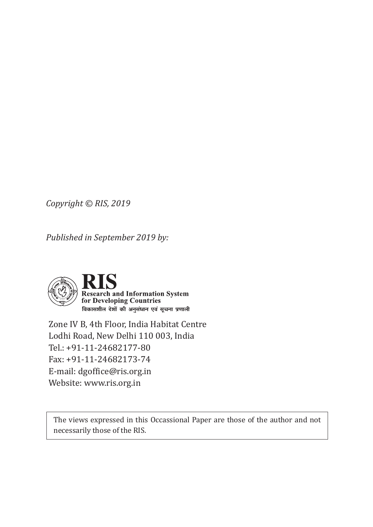*Copyright © RIS, 2019*

*Published in September 2019 by:*



**Research and Information System**<br>for Developing Countries --- – - - ---- - ---g<br>विकासशील देशों की अनुसंधान एवं सूचना प्रणाली

Zone IV B, 4th Floor, India Habitat Centre Lodhi Road, New Delhi 110 003, India Tel.: +91-11-24682177-80 Fax: +91-11-24682173-74 E-mail: dgoffice@ris.org.in Website: www.ris.org.in

The views expressed in this Occassional Paper are those of the author and not necessarily those of the RIS.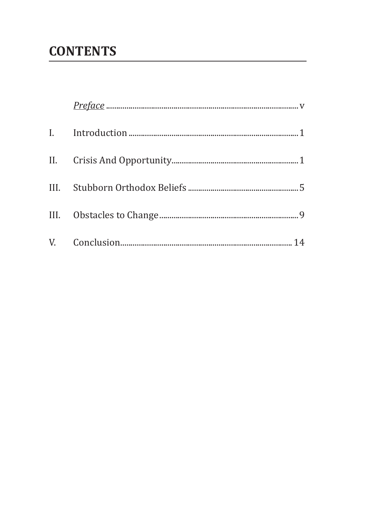### **CONTENTS**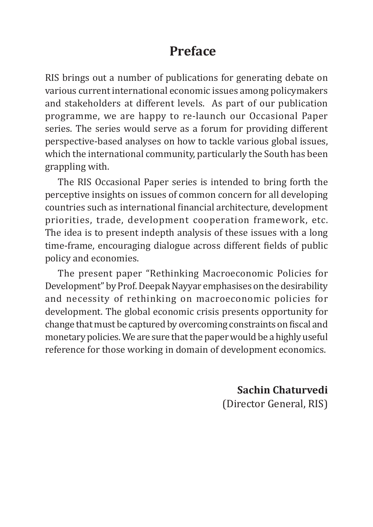#### **Preface**

RIS brings out a number of publications for generating debate on various current international economic issues among policymakers and stakeholders at different levels. As part of our publication programme, we are happy to re-launch our Occasional Paper series. The series would serve as a forum for providing different perspective-based analyses on how to tackle various global issues, which the international community, particularly the South has been grappling with.

The RIS Occasional Paper series is intended to bring forth the perceptive insights on issues of common concern for all developing countries such as international financial architecture, development priorities, trade, development cooperation framework, etc. The idea is to present indepth analysis of these issues with a long time-frame, encouraging dialogue across different fields of public policy and economies.

The present paper "Rethinking Macroeconomic Policies for Development" by Prof. Deepak Nayyar emphasises on the desirability and necessity of rethinking on macroeconomic policies for development. The global economic crisis presents opportunity for change that must be captured by overcoming constraints on fiscal and monetary policies. We are sure that the paper would be a highly useful reference for those working in domain of development economics.

> **Sachin Chaturvedi** (Director General, RIS)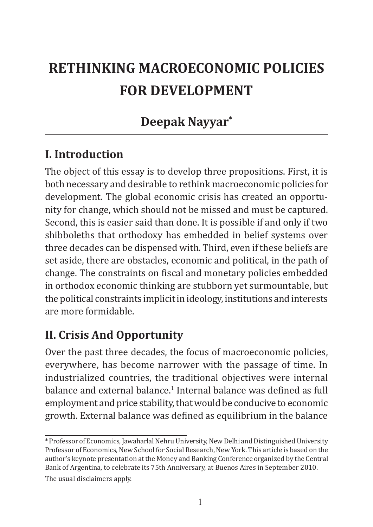## **RETHINKING MACROECONOMIC POLICIES FOR DEVELOPMENT**

### **Deepak Nayyar\***

#### **I. Introduction**

The object of this essay is to develop three propositions. First, it is both necessary and desirable to rethink macroeconomic policies for development. The global economic crisis has created an opportunity for change, which should not be missed and must be captured. Second, this is easier said than done. It is possible if and only if two shibboleths that orthodoxy has embedded in belief systems over three decades can be dispensed with. Third, even if these beliefs are set aside, there are obstacles, economic and political, in the path of change. The constraints on fiscal and monetary policies embedded in orthodox economic thinking are stubborn yet surmountable, but the political constraints implicit in ideology, institutions and interests are more formidable.

#### **II. Crisis And Opportunity**

Over the past three decades, the focus of macroeconomic policies, everywhere, has become narrower with the passage of time. In industrialized countries, the traditional objectives were internal balance and external balance.<sup>1</sup> Internal balance was defined as full employment and price stability, that would be conducive to economic growth. External balance was defined as equilibrium in the balance

<sup>\*</sup> Professor of Economics, Jawaharlal Nehru University, New Delhi and Distinguished University Professor of Economics, New School for Social Research, New York. This article is based on the author's keynote presentation at the Money and Banking Conference organized by the Central Bank of Argentina, to celebrate its 75th Anniversary, at Buenos Aires in September 2010. The usual disclaimers apply.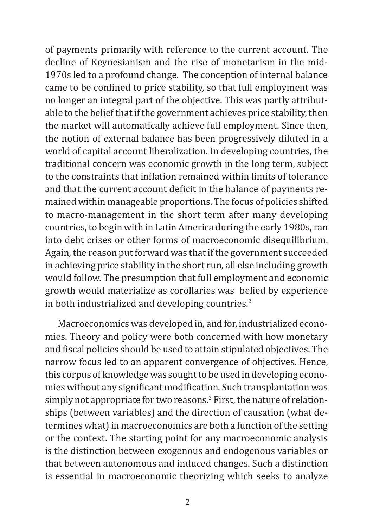of payments primarily with reference to the current account. The decline of Keynesianism and the rise of monetarism in the mid-1970s led to a profound change. The conception of internal balance came to be confined to price stability, so that full employment was no longer an integral part of the objective. This was partly attributable to the belief that if the government achieves price stability, then the market will automatically achieve full employment. Since then, the notion of external balance has been progressively diluted in a world of capital account liberalization. In developing countries, the traditional concern was economic growth in the long term, subject to the constraints that inflation remained within limits of tolerance and that the current account deficit in the balance of payments remained within manageable proportions. The focus of policies shifted to macro-management in the short term after many developing countries, to begin with in Latin America during the early 1980s, ran into debt crises or other forms of macroeconomic disequilibrium. Again, the reason put forward was that if the government succeeded in achieving price stability in the short run, all else including growth would follow. The presumption that full employment and economic growth would materialize as corollaries was belied by experience in both industrialized and developing countries.<sup>2</sup>

Macroeconomics was developed in, and for, industrialized economies. Theory and policy were both concerned with how monetary and fiscal policies should be used to attain stipulated objectives. The narrow focus led to an apparent convergence of objectives. Hence, this corpus of knowledge was sought to be used in developing economies without any significant modification. Such transplantation was simply not appropriate for two reasons.<sup>3</sup> First, the nature of relationships (between variables) and the direction of causation (what determines what) in macroeconomics are both a function of the setting or the context. The starting point for any macroeconomic analysis is the distinction between exogenous and endogenous variables or that between autonomous and induced changes. Such a distinction is essential in macroeconomic theorizing which seeks to analyze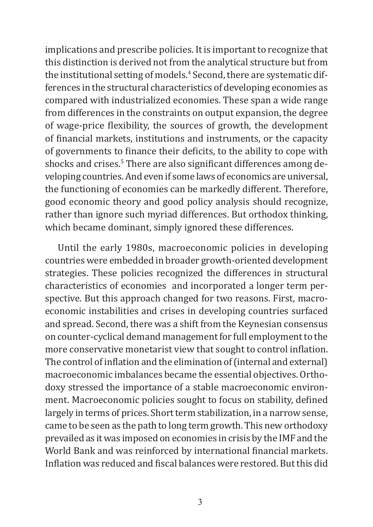implications and prescribe policies. It is important to recognize that this distinction is derived not from the analytical structure but from the institutional setting of models.<sup>4</sup> Second, there are systematic differences in the structural characteristics of developing economies as compared with industrialized economies. These span a wide range from differences in the constraints on output expansion, the degree of wage-price flexibility, the sources of growth, the development of financial markets, institutions and instruments, or the capacity of governments to finance their deficits, to the ability to cope with shocks and crises.<sup>s</sup> There are also significant differences among developing countries. And even if some laws of economics are universal, the functioning of economies can be markedly different. Therefore, good economic theory and good policy analysis should recognize, rather than ignore such myriad differences. But orthodox thinking, which became dominant, simply ignored these differences.

Until the early 1980s, macroeconomic policies in developing countries were embedded in broader growth-oriented development strategies. These policies recognized the differences in structural characteristics of economies and incorporated a longer term perspective. But this approach changed for two reasons. First, macroeconomic instabilities and crises in developing countries surfaced and spread. Second, there was a shift from the Keynesian consensus on counter-cyclical demand management for full employment to the more conservative monetarist view that sought to control inflation. The control of inflation and the elimination of (internal and external) macroeconomic imbalances became the essential objectives. Orthodoxy stressed the importance of a stable macroeconomic environment. Macroeconomic policies sought to focus on stability, defined largely in terms of prices. Short term stabilization, in a narrow sense, came to be seen as the path to long term growth. This new orthodoxy prevailed as it was imposed on economies in crisis by the IMF and the World Bank and was reinforced by international financial markets. Inflation was reduced and fiscal balances were restored. But this did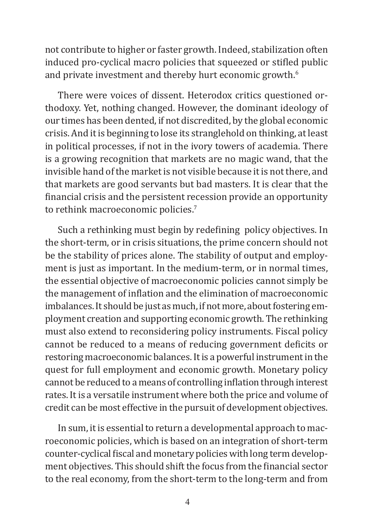not contribute to higher or faster growth. Indeed, stabilization often induced pro-cyclical macro policies that squeezed or stifled public and private investment and thereby hurt economic growth.<sup>6</sup>

There were voices of dissent. Heterodox critics questioned orthodoxy. Yet, nothing changed. However, the dominant ideology of our times has been dented, if not discredited, by the global economic crisis. And it is beginning to lose its stranglehold on thinking, at least in political processes, if not in the ivory towers of academia. There is a growing recognition that markets are no magic wand, that the invisible hand of the market is not visible because it is not there, and that markets are good servants but bad masters. It is clear that the financial crisis and the persistent recession provide an opportunity to rethink macroeconomic policies.<sup>7</sup>

Such a rethinking must begin by redefining policy objectives. In the short-term, or in crisis situations, the prime concern should not be the stability of prices alone. The stability of output and employment is just as important. In the medium-term, or in normal times, the essential objective of macroeconomic policies cannot simply be the management of inflation and the elimination of macroeconomic imbalances. It should be just as much, if not more, about fostering employment creation and supporting economic growth. The rethinking must also extend to reconsidering policy instruments. Fiscal policy cannot be reduced to a means of reducing government deficits or restoring macroeconomic balances. It is a powerful instrument in the quest for full employment and economic growth. Monetary policy cannot be reduced to a means of controlling inflation through interest rates. It is a versatile instrument where both the price and volume of credit can be most effective in the pursuit of development objectives.

In sum, it is essential to return a developmental approach to macroeconomic policies, which is based on an integration of short-term counter-cyclical fiscal and monetary policies with long term development objectives. This should shift the focus from the financial sector to the real economy, from the short-term to the long-term and from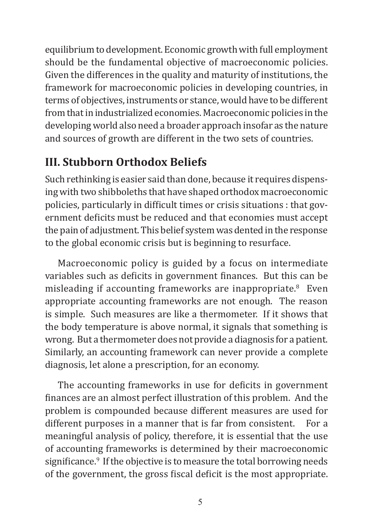equilibrium to development. Economic growth with full employment should be the fundamental objective of macroeconomic policies. Given the differences in the quality and maturity of institutions, the framework for macroeconomic policies in developing countries, in terms of objectives, instruments or stance, would have to be different from that in industrialized economies. Macroeconomic policies in the developing world also need a broader approach insofar as the nature and sources of growth are different in the two sets of countries.

#### **III. Stubborn Orthodox Beliefs**

Such rethinking is easier said than done, because it requires dispensing with two shibboleths that have shaped orthodox macroeconomic policies, particularly in difficult times or crisis situations : that government deficits must be reduced and that economies must accept the pain of adjustment. This belief system was dented in the response to the global economic crisis but is beginning to resurface.

Macroeconomic policy is guided by a focus on intermediate variables such as deficits in government finances. But this can be misleading if accounting frameworks are inappropriate.<sup>8</sup> Even appropriate accounting frameworks are not enough. The reason is simple. Such measures are like a thermometer. If it shows that the body temperature is above normal, it signals that something is wrong. But a thermometer does not provide a diagnosis for a patient. Similarly, an accounting framework can never provide a complete diagnosis, let alone a prescription, for an economy.

The accounting frameworks in use for deficits in government finances are an almost perfect illustration of this problem. And the problem is compounded because different measures are used for different purposes in a manner that is far from consistent. For a meaningful analysis of policy, therefore, it is essential that the use of accounting frameworks is determined by their macroeconomic significance.<sup>9</sup> If the objective is to measure the total borrowing needs of the government, the gross fiscal deficit is the most appropriate.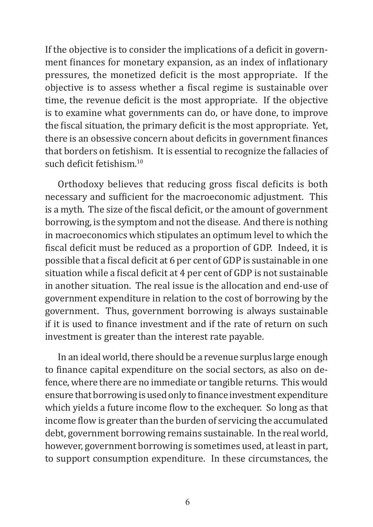If the objective is to consider the implications of a deficit in government finances for monetary expansion, as an index of inflationary pressures, the monetized deficit is the most appropriate. If the objective is to assess whether a fiscal regime is sustainable over time, the revenue deficit is the most appropriate. If the objective is to examine what governments can do, or have done, to improve the fiscal situation, the primary deficit is the most appropriate. Yet, there is an obsessive concern about deficits in government finances that borders on fetishism. It is essential to recognize the fallacies of such deficit fetishism.<sup>10</sup>

Orthodoxy believes that reducing gross fiscal deficits is both necessary and sufficient for the macroeconomic adjustment. This is a myth. The size of the fiscal deficit, or the amount of government borrowing, is the symptom and not the disease. And there is nothing in macroeconomics which stipulates an optimum level to which the fiscal deficit must be reduced as a proportion of GDP. Indeed, it is possible that a fiscal deficit at 6 per cent of GDP is sustainable in one situation while a fiscal deficit at 4 per cent of GDP is not sustainable in another situation. The real issue is the allocation and end-use of government expenditure in relation to the cost of borrowing by the government. Thus, government borrowing is always sustainable if it is used to finance investment and if the rate of return on such investment is greater than the interest rate payable.

In an ideal world, there should be a revenue surplus large enough to finance capital expenditure on the social sectors, as also on defence, where there are no immediate or tangible returns. This would ensure that borrowing is used only to finance investment expenditure which yields a future income flow to the exchequer. So long as that income flow is greater than the burden of servicing the accumulated debt, government borrowing remains sustainable. In the real world, however, government borrowing is sometimes used, at least in part, to support consumption expenditure. In these circumstances, the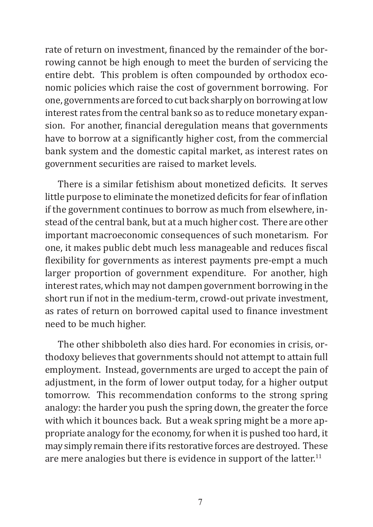rate of return on investment, financed by the remainder of the borrowing cannot be high enough to meet the burden of servicing the entire debt. This problem is often compounded by orthodox economic policies which raise the cost of government borrowing. For one, governments are forced to cut back sharply on borrowing at low interest rates from the central bank so as to reduce monetary expansion. For another, financial deregulation means that governments have to borrow at a significantly higher cost, from the commercial bank system and the domestic capital market, as interest rates on government securities are raised to market levels.

There is a similar fetishism about monetized deficits. It serves little purpose to eliminate the monetized deficits for fear of inflation if the government continues to borrow as much from elsewhere, instead of the central bank, but at a much higher cost. There are other important macroeconomic consequences of such monetarism. For one, it makes public debt much less manageable and reduces fiscal flexibility for governments as interest payments pre-empt a much larger proportion of government expenditure. For another, high interest rates, which may not dampen government borrowing in the short run if not in the medium-term, crowd-out private investment, as rates of return on borrowed capital used to finance investment need to be much higher.

The other shibboleth also dies hard. For economies in crisis, orthodoxy believes that governments should not attempt to attain full employment. Instead, governments are urged to accept the pain of adjustment, in the form of lower output today, for a higher output tomorrow. This recommendation conforms to the strong spring analogy: the harder you push the spring down, the greater the force with which it bounces back. But a weak spring might be a more appropriate analogy for the economy, for when it is pushed too hard, it may simply remain there if its restorative forces are destroyed. These are mere analogies but there is evidence in support of the latter. $11$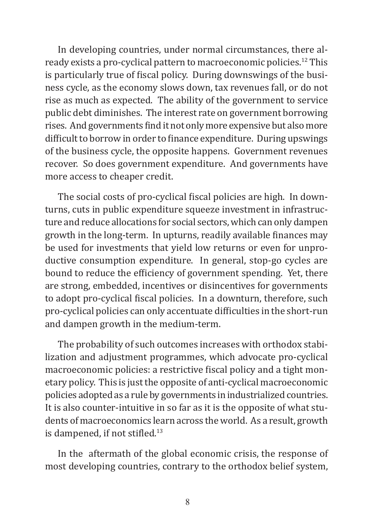In developing countries, under normal circumstances, there already exists a pro-cyclical pattern to macroeconomic policies.<sup>12</sup> This is particularly true of fiscal policy. During downswings of the business cycle, as the economy slows down, tax revenues fall, or do not rise as much as expected. The ability of the government to service public debt diminishes. The interest rate on government borrowing rises. And governments find it not only more expensive but also more difficult to borrow in order to finance expenditure. During upswings of the business cycle, the opposite happens. Government revenues recover. So does government expenditure. And governments have more access to cheaper credit.

The social costs of pro-cyclical fiscal policies are high. In downturns, cuts in public expenditure squeeze investment in infrastructure and reduce allocations for social sectors, which can only dampen growth in the long-term. In upturns, readily available finances may be used for investments that yield low returns or even for unproductive consumption expenditure. In general, stop-go cycles are bound to reduce the efficiency of government spending. Yet, there are strong, embedded, incentives or disincentives for governments to adopt pro-cyclical fiscal policies. In a downturn, therefore, such pro-cyclical policies can only accentuate difficulties in the short-run and dampen growth in the medium-term.

The probability of such outcomes increases with orthodox stabilization and adjustment programmes, which advocate pro-cyclical macroeconomic policies: a restrictive fiscal policy and a tight monetary policy. This is just the opposite of anti-cyclical macroeconomic policies adopted as a rule by governments in industrialized countries. It is also counter-intuitive in so far as it is the opposite of what students of macroeconomics learn across the world. As a result, growth is dampened, if not stifled.<sup>13</sup>

In the aftermath of the global economic crisis, the response of most developing countries, contrary to the orthodox belief system,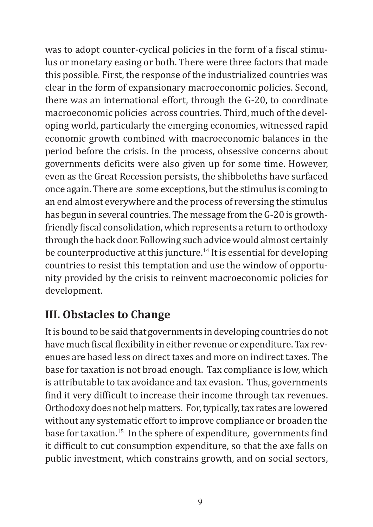was to adopt counter-cyclical policies in the form of a fiscal stimulus or monetary easing or both. There were three factors that made this possible. First, the response of the industrialized countries was clear in the form of expansionary macroeconomic policies. Second, there was an international effort, through the G-20, to coordinate macroeconomic policies across countries. Third, much of the developing world, particularly the emerging economies, witnessed rapid economic growth combined with macroeconomic balances in the period before the crisis. In the process, obsessive concerns about governments deficits were also given up for some time. However, even as the Great Recession persists, the shibboleths have surfaced once again. There are some exceptions, but the stimulus is coming to an end almost everywhere and the process of reversing the stimulus has begun in several countries. The message from the G-20 is growthfriendly fiscal consolidation, which represents a return to orthodoxy through the back door. Following such advice would almost certainly be counterproductive at this juncture.<sup>14</sup> It is essential for developing countries to resist this temptation and use the window of opportunity provided by the crisis to reinvent macroeconomic policies for development.

#### **III. Obstacles to Change**

It is bound to be said that governments in developing countries do not have much fiscal flexibility in either revenue or expenditure. Tax revenues are based less on direct taxes and more on indirect taxes. The base for taxation is not broad enough. Tax compliance is low, which is attributable to tax avoidance and tax evasion. Thus, governments find it very difficult to increase their income through tax revenues. Orthodoxy does not help matters. For, typically, tax rates are lowered without any systematic effort to improve compliance or broaden the base for taxation.<sup>15</sup> In the sphere of expenditure, governments find it difficult to cut consumption expenditure, so that the axe falls on public investment, which constrains growth, and on social sectors,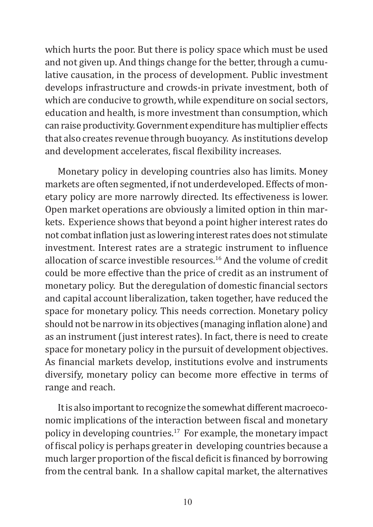which hurts the poor. But there is policy space which must be used and not given up. And things change for the better, through a cumulative causation, in the process of development. Public investment develops infrastructure and crowds-in private investment, both of which are conducive to growth, while expenditure on social sectors, education and health, is more investment than consumption, which can raise productivity. Government expenditure has multiplier effects that also creates revenue through buoyancy. As institutions develop and development accelerates, fiscal flexibility increases.

Monetary policy in developing countries also has limits. Money markets are often segmented, if not underdeveloped. Effects of monetary policy are more narrowly directed. Its effectiveness is lower. Open market operations are obviously a limited option in thin markets. Experience shows that beyond a point higher interest rates do not combat inflation just as lowering interest rates does not stimulate investment. Interest rates are a strategic instrument to influence allocation of scarce investible resources.<sup>16</sup> And the volume of credit could be more effective than the price of credit as an instrument of monetary policy. But the deregulation of domestic financial sectors and capital account liberalization, taken together, have reduced the space for monetary policy. This needs correction. Monetary policy should not be narrow in its objectives (managing inflation alone) and as an instrument (just interest rates). In fact, there is need to create space for monetary policy in the pursuit of development objectives. As financial markets develop, institutions evolve and instruments diversify, monetary policy can become more effective in terms of range and reach.

It is also important to recognize the somewhat different macroeconomic implications of the interaction between fiscal and monetary policy in developing countries.<sup>17</sup> For example, the monetary impact of fiscal policy is perhaps greater in developing countries because a much larger proportion of the fiscal deficit is financed by borrowing from the central bank. In a shallow capital market, the alternatives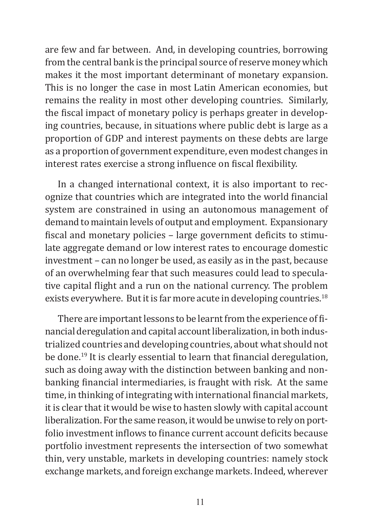are few and far between. And, in developing countries, borrowing from the central bank is the principal source of reserve money which makes it the most important determinant of monetary expansion. This is no longer the case in most Latin American economies, but remains the reality in most other developing countries. Similarly, the fiscal impact of monetary policy is perhaps greater in developing countries, because, in situations where public debt is large as a proportion of GDP and interest payments on these debts are large as a proportion of government expenditure, even modest changes in interest rates exercise a strong influence on fiscal flexibility.

In a changed international context, it is also important to recognize that countries which are integrated into the world financial system are constrained in using an autonomous management of demand to maintain levels of output and employment. Expansionary fiscal and monetary policies – large government deficits to stimulate aggregate demand or low interest rates to encourage domestic investment – can no longer be used, as easily as in the past, because of an overwhelming fear that such measures could lead to speculative capital flight and a run on the national currency. The problem exists everywhere. But it is far more acute in developing countries.<sup>18</sup>

There are important lessons to be learnt from the experience of financial deregulation and capital account liberalization, in both industrialized countries and developing countries, about what should not be done.19 It is clearly essential to learn that financial deregulation, such as doing away with the distinction between banking and nonbanking financial intermediaries, is fraught with risk. At the same time, in thinking of integrating with international financial markets, it is clear that it would be wise to hasten slowly with capital account liberalization. For the same reason, it would be unwise to rely on portfolio investment inflows to finance current account deficits because portfolio investment represents the intersection of two somewhat thin, very unstable, markets in developing countries: namely stock exchange markets, and foreign exchange markets. Indeed, wherever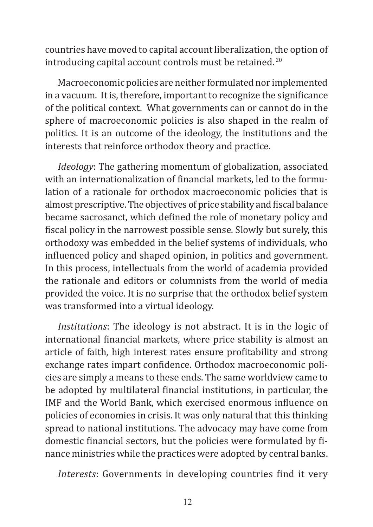countries have moved to capital account liberalization, the option of introducing capital account controls must be retained.<sup>20</sup>

Macroeconomic policies are neither formulated nor implemented in a vacuum. It is, therefore, important to recognize the significance of the political context. What governments can or cannot do in the sphere of macroeconomic policies is also shaped in the realm of politics. It is an outcome of the ideology, the institutions and the interests that reinforce orthodox theory and practice.

*Ideology*: The gathering momentum of globalization, associated with an internationalization of financial markets, led to the formulation of a rationale for orthodox macroeconomic policies that is almost prescriptive. The objectives of price stability and fiscal balance became sacrosanct, which defined the role of monetary policy and fiscal policy in the narrowest possible sense. Slowly but surely, this orthodoxy was embedded in the belief systems of individuals, who influenced policy and shaped opinion, in politics and government. In this process, intellectuals from the world of academia provided the rationale and editors or columnists from the world of media provided the voice. It is no surprise that the orthodox belief system was transformed into a virtual ideology.

*Institutions*: The ideology is not abstract. It is in the logic of international financial markets, where price stability is almost an article of faith, high interest rates ensure profitability and strong exchange rates impart confidence. Orthodox macroeconomic policies are simply a means to these ends. The same worldview came to be adopted by multilateral financial institutions, in particular, the IMF and the World Bank, which exercised enormous influence on policies of economies in crisis. It was only natural that this thinking spread to national institutions. The advocacy may have come from domestic financial sectors, but the policies were formulated by finance ministries while the practices were adopted by central banks.

*Interests*: Governments in developing countries find it very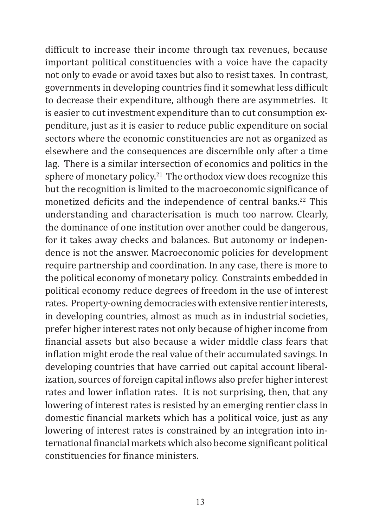difficult to increase their income through tax revenues, because important political constituencies with a voice have the capacity not only to evade or avoid taxes but also to resist taxes. In contrast, governments in developing countries find it somewhat less difficult to decrease their expenditure, although there are asymmetries. It is easier to cut investment expenditure than to cut consumption expenditure, just as it is easier to reduce public expenditure on social sectors where the economic constituencies are not as organized as elsewhere and the consequences are discernible only after a time lag. There is a similar intersection of economics and politics in the sphere of monetary policy.<sup>21</sup> The orthodox view does recognize this but the recognition is limited to the macroeconomic significance of monetized deficits and the independence of central banks.<sup>22</sup> This understanding and characterisation is much too narrow. Clearly, the dominance of one institution over another could be dangerous, for it takes away checks and balances. But autonomy or independence is not the answer. Macroeconomic policies for development require partnership and coordination. In any case, there is more to the political economy of monetary policy. Constraints embedded in political economy reduce degrees of freedom in the use of interest rates. Property-owning democracies with extensive rentier interests, in developing countries, almost as much as in industrial societies, prefer higher interest rates not only because of higher income from financial assets but also because a wider middle class fears that inflation might erode the real value of their accumulated savings. In developing countries that have carried out capital account liberalization, sources of foreign capital inflows also prefer higher interest rates and lower inflation rates. It is not surprising, then, that any lowering of interest rates is resisted by an emerging rentier class in domestic financial markets which has a political voice, just as any lowering of interest rates is constrained by an integration into international financial markets which also become significant political constituencies for finance ministers.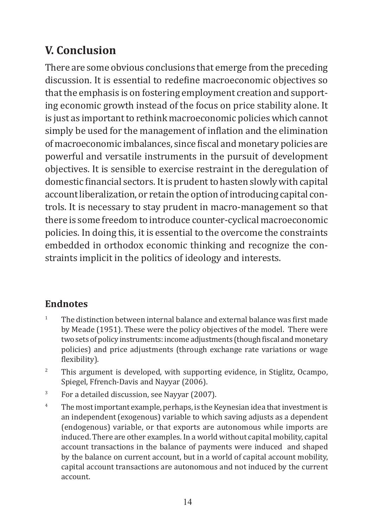#### **V. Conclusion**

There are some obvious conclusions that emerge from the preceding discussion. It is essential to redefine macroeconomic objectives so that the emphasis is on fostering employment creation and supporting economic growth instead of the focus on price stability alone. It is just as important to rethink macroeconomic policies which cannot simply be used for the management of inflation and the elimination of macroeconomic imbalances, since fiscal and monetary policies are powerful and versatile instruments in the pursuit of development objectives. It is sensible to exercise restraint in the deregulation of domestic financial sectors. It is prudent to hasten slowly with capital account liberalization, or retain the option of introducing capital controls. It is necessary to stay prudent in macro-management so that there is some freedom to introduce counter-cyclical macroeconomic policies. In doing this, it is essential to the overcome the constraints embedded in orthodox economic thinking and recognize the constraints implicit in the politics of ideology and interests.

#### **Endnotes**

- <sup>1</sup> The distinction between internal balance and external balance was first made by Meade (1951). These were the policy objectives of the model. There were two sets of policy instruments: income adjustments (though fiscal and monetary policies) and price adjustments (through exchange rate variations or wage flexibility).
- <sup>2</sup> This argument is developed, with supporting evidence, in Stiglitz, Ocampo, Spiegel, Ffrench-Davis and Nayyar (2006).
- <sup>3</sup> For a detailed discussion, see Nayyar (2007).
- <sup>4</sup> The most important example, perhaps, is the Keynesian idea that investment is an independent (exogenous) variable to which saving adjusts as a dependent (endogenous) variable, or that exports are autonomous while imports are induced. There are other examples. In a world without capital mobility, capital account transactions in the balance of payments were induced and shaped by the balance on current account, but in a world of capital account mobility, capital account transactions are autonomous and not induced by the current account.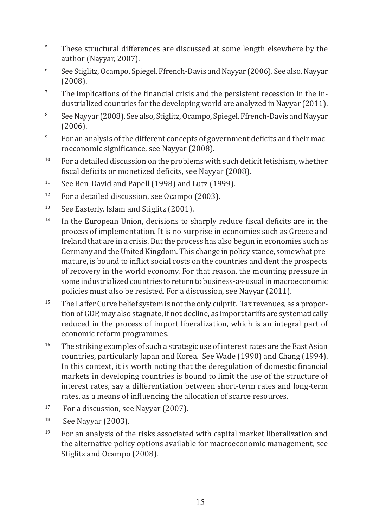- <sup>5</sup> These structural differences are discussed at some length elsewhere by the author (Nayyar, 2007).
- <sup>6</sup> See Stiglitz, Ocampo, Spiegel, Ffrench-Davis and Nayyar (2006). See also, Nayyar (2008).
- $7$  The implications of the financial crisis and the persistent recession in the industrialized countries for the developing world are analyzed in Nayyar (2011).
- <sup>8</sup> See Nayyar (2008). See also, Stiglitz, Ocampo, Spiegel, Ffrench-Davis and Nayyar (2006).
- $9^9$  For an analysis of the different concepts of government deficits and their macroeconomic significance, see Nayyar (2008).
- $10$  For a detailed discussion on the problems with such deficit fetishism, whether fiscal deficits or monetized deficits, see Nayyar (2008).
- <sup>11</sup> See Ben-David and Papell (1998) and Lutz (1999).
- <sup>12</sup> For a detailed discussion, see Ocampo (2003).
- <sup>13</sup> See Easterly, Islam and Stiglitz (2001).
- <sup>14</sup> In the European Union, decisions to sharply reduce fiscal deficits are in the process of implementation. It is no surprise in economies such as Greece and Ireland that are in a crisis. But the process has also begun in economies such as Germany and the United Kingdom. This change in policy stance, somewhat premature, is bound to inflict social costs on the countries and dent the prospects of recovery in the world economy. For that reason, the mounting pressure in some industrialized countries to return to business-as-usual in macroeconomic policies must also be resisted. For a discussion, see Nayyar (2011).
- <sup>15</sup> The Laffer Curve belief system is not the only culprit. Tax revenues, as a proportion of GDP, may also stagnate, if not decline, as import tariffs are systematically reduced in the process of import liberalization, which is an integral part of economic reform programmes.
- <sup>16</sup> The striking examples of such a strategic use of interest rates are the East Asian countries, particularly Japan and Korea. See Wade (1990) and Chang (1994). In this context, it is worth noting that the deregulation of domestic financial markets in developing countries is bound to limit the use of the structure of interest rates, say a differentiation between short-term rates and long-term rates, as a means of influencing the allocation of scarce resources.
- <sup>17</sup> For a discussion, see Nayyar (2007).
- <sup>18</sup> See Nayyar (2003).
- $19$  For an analysis of the risks associated with capital market liberalization and the alternative policy options available for macroeconomic management, see Stiglitz and Ocampo (2008).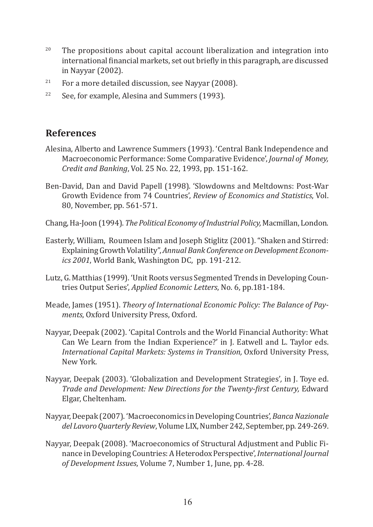- <sup>20</sup> The propositions about capital account liberalization and integration into international financial markets, set out briefly in this paragraph, are discussed in Nayyar (2002).
- <sup>21</sup> For a more detailed discussion, see Nayyar (2008).<br><sup>22</sup> See for example Alesina and Summore (1002).
- See, for example, Alesina and Summers (1993).

#### **References**

- Alesina, Alberto and Lawrence Summers (1993). 'Central Bank Independence and Macroeconomic Performance: Some Comparative Evidence', *Journal of Money, Credit and Banking*, Vol. 25 No. 22, 1993, pp. 151-162.
- Ben-David, Dan and David Papell (1998). 'Slowdowns and Meltdowns: Post-War Growth Evidence from 74 Countries', *Review of Economics and Statistics*, Vol. 80, November, pp. 561-571.
- Chang, Ha-Joon (1994). *The Political Economy of Industrial Policy,* Macmillan, London.
- Easterly, William, Roumeen Islam and Joseph Stiglitz (2001). "Shaken and Stirred: Explaining Growth Volatility", *Annual Bank Conference on Development Economics 2001*, World Bank, Washington DC, pp. 191-212.
- Lutz, G. Matthias (1999). 'Unit Roots versus Segmented Trends in Developing Countries Output Series', *Applied Economic Letters*, No. 6, pp.181-184.
- Meade, James (1951). *Theory of International Economic Policy: The Balance of Payments*, Oxford University Press, Oxford.
- Nayyar, Deepak (2002). 'Capital Controls and the World Financial Authority: What Can We Learn from the Indian Experience?' in J. Eatwell and L. Taylor eds. *International Capital Markets: Systems in Transition,* Oxford University Press, New York.
- Nayyar, Deepak (2003). 'Globalization and Development Strategies'*,* in J. Toye ed. *Trade and Development: New Directions for the Twenty-first Century,* Edward Elgar, Cheltenham.
- Nayyar, Deepak (2007). 'Macroeconomics in Developing Countries', *Banca Nazionale del Lavoro Quarterly Review*, Volume LIX, Number 242, September, pp. 249-269.
- Nayyar, Deepak (2008). 'Macroeconomics of Structural Adjustment and Public Finance in Developing Countries: A Heterodox Perspective', *International Journal of Development Issues*, Volume 7, Number 1, June, pp. 4-28.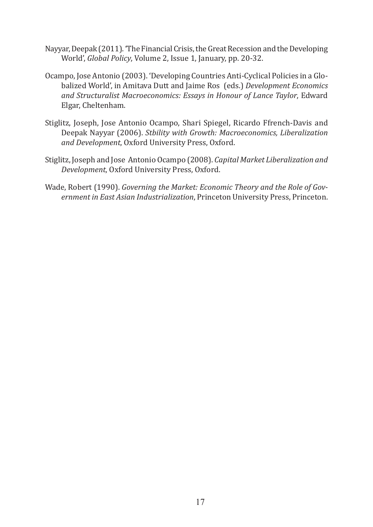- Nayyar, Deepak (2011). 'The Financial Crisis, the Great Recession and the Developing World', *Global Policy*, Volume 2, Issue 1, January, pp. 20-32.
- Ocampo, Jose Antonio (2003). 'Developing Countries Anti-Cyclical Policies in a Globalized World', in Amitava Dutt and Jaime Ros (eds.) *Development Economics and Structuralist Macroeconomics: Essays in Honour of Lance Taylor*, Edward Elgar, Cheltenham.
- Stiglitz, Joseph, Jose Antonio Ocampo, Shari Spiegel, Ricardo Ffrench-Davis and Deepak Nayyar (2006). *Stbility with Growth: Macroeconomics, Liberalization and Development*, Oxford University Press, Oxford.
- Stiglitz, Joseph and Jose Antonio Ocampo (2008). *Capital Market Liberalization and Development*, Oxford University Press, Oxford.
- Wade, Robert (1990). *Governing the Market: Economic Theory and the Role of Government in East Asian Industrialization*, Princeton University Press, Princeton.